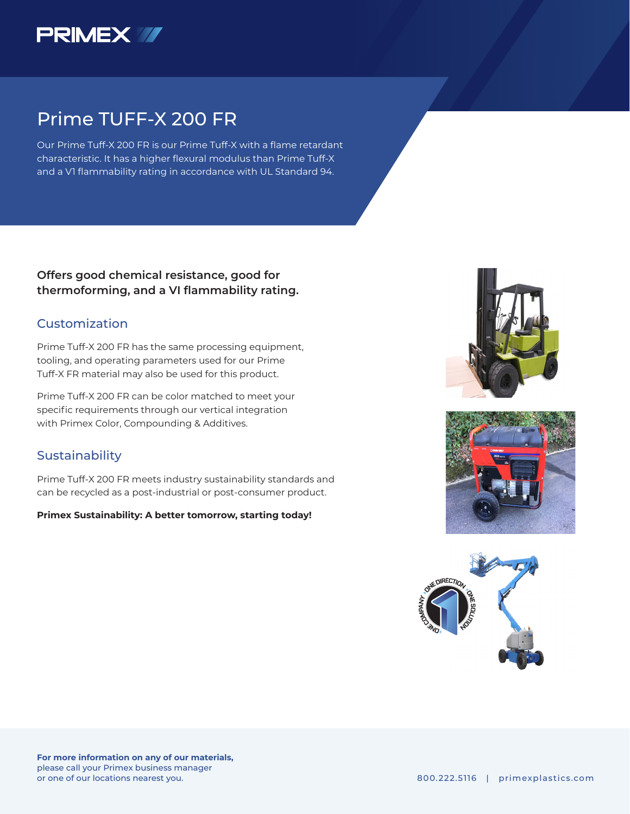

## Prime TUFF-X 200 FR

Our Prime Tuff-X 200 FR is our Prime Tuff-X with a flame retardant characteristic. It has a higher flexural modulus than Prime Tuff-X and a V1 flammability rating in accordance with UL Standard 94.

**Offers good chemical resistance, good for thermoforming, and a VI flammability rating.** 

### Customization

Prime Tuff-X 200 FR has the same processing equipment, tooling, and operating parameters used for our Prime Tuff-X FR material may also be used for this product.

Prime Tuff-X 200 FR can be color matched to meet your specific requirements through our vertical integration with Primex Color, Compounding & Additives.

### **Sustainability**

Prime Tuff-X 200 FR meets industry sustainability standards and can be recycled as a post-industrial or post-consumer product.

### **Primex Sustainability: A better tomorrow, starting today!**